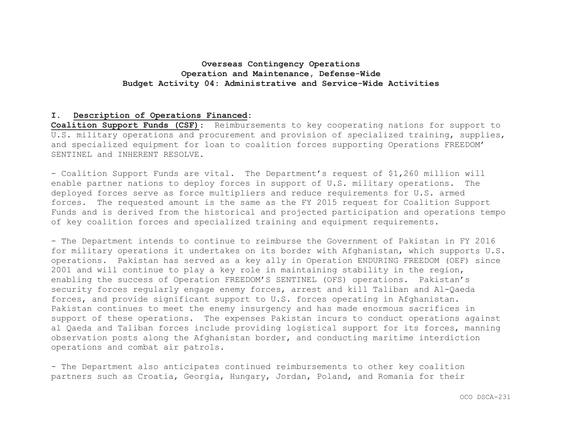#### **I. Description of Operations Financed:**

**Coalition Support Funds (CSF)**: Reimbursements to key cooperating nations for support to U.S. military operations and procurement and provision of specialized training, supplies, and specialized equipment for loan to coalition forces supporting Operations FREEDOM' SENTINEL and INHERENT RESOLVE.

- Coalition Support Funds are vital. The Department's request of \$1,260 million will enable partner nations to deploy forces in support of U.S. military operations. The deployed forces serve as force multipliers and reduce requirements for U.S. armed forces. The requested amount is the same as the FY 2015 request for Coalition Support Funds and is derived from the historical and projected participation and operations tempo of key coalition forces and specialized training and equipment requirements.

- The Department intends to continue to reimburse the Government of Pakistan in FY 2016 for military operations it undertakes on its border with Afghanistan, which supports U.S. operations. Pakistan has served as a key ally in Operation ENDURING FREEDOM (OEF) since 2001 and will continue to play a key role in maintaining stability in the region, enabling the success of Operation FREEDOM'S SENTINEL (OFS) operations. Pakistan's security forces regularly engage enemy forces, arrest and kill Taliban and Al-Qaeda forces, and provide significant support to U.S. forces operating in Afghanistan. Pakistan continues to meet the enemy insurgency and has made enormous sacrifices in support of these operations. The expenses Pakistan incurs to conduct operations against al Qaeda and Taliban forces include providing logistical support for its forces, manning observation posts along the Afghanistan border, and conducting maritime interdiction operations and combat air patrols.

- The Department also anticipates continued reimbursements to other key coalition partners such as Croatia, Georgia, Hungary, Jordan, Poland, and Romania for their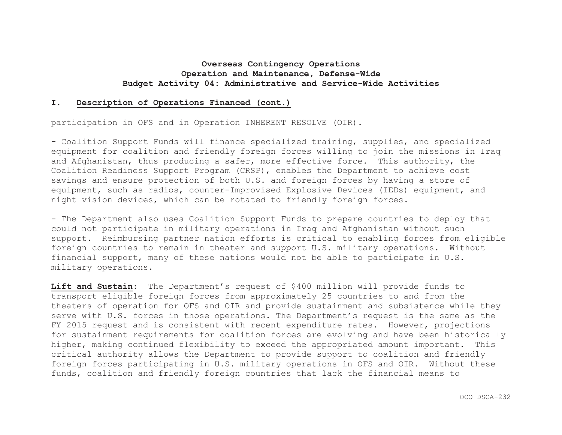#### **I.Description of Operations Financed (cont.)**

participation in OFS and in Operation INHERENT RESOLVE (OIR).

- Coalition Support Funds will finance specialized training, supplies, and specialized equipment for coalition and friendly foreign forces willing to join the missions in Iraq and Afghanistan, thus producing a safer, more effective force. This authority, the Coalition Readiness Support Program (CRSP), enables the Department to achieve cost savings and ensure protection of both U.S. and foreign forces by having a store of equipment, such as radios, counter-Improvised Explosive Devices (IEDs) equipment, and night vision devices, which can be rotated to friendly foreign forces.

- The Department also uses Coalition Support Funds to prepare countries to deploy that could not participate in military operations in Iraq and Afghanistan without such support. Reimbursing partner nation efforts is critical to enabling forces from eligible foreign countries to remain in theater and support U.S. military operations. Without financial support, many of these nations would not be able to participate in U.S. military operations.

**Lift and Sustain**: The Department's request of \$400 million will provide funds to transport eligible foreign forces from approximately 25 countries to and from the theaters of operation for OFS and OIR and provide sustainment and subsistence while they serve with U.S. forces in those operations. The Department's request is the same as the FY 2015 request and is consistent with recent expenditure rates. However, projections for sustainment requirements for coalition forces are evolving and have been historically higher, making continued flexibility to exceed the appropriated amount important. This critical authority allows the Department to provide support to coalition and friendly foreign forces participating in U.S. military operations in OFS and OIR. Without these funds, coalition and friendly foreign countries that lack the financial means to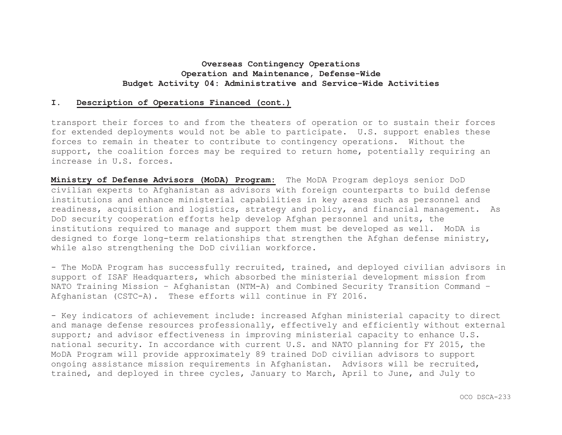#### **I.Description of Operations Financed (cont.)**

transport their forces to and from the theaters of operation or to sustain their forces for extended deployments would not be able to participate. U.S. support enables these forces to remain in theater to contribute to contingency operations. Without the support, the coalition forces may be required to return home, potentially requiring an increase in U.S. forces.

**Ministry of Defense Advisors (MoDA) Program:** The MoDA Program deploys senior DoD civilian experts to Afghanistan as advisors with foreign counterparts to build defense institutions and enhance ministerial capabilities in key areas such as personnel and readiness, acquisition and logistics, strategy and policy, and financial management. As DoD security cooperation efforts help develop Afghan personnel and units, the institutions required to manage and support them must be developed as well. MoDA is designed to forge long-term relationships that strengthen the Afghan defense ministry, while also strengthening the DoD civilian workforce.

- The MoDA Program has successfully recruited, trained, and deployed civilian advisors in support of ISAF Headquarters, which absorbed the ministerial development mission from NATO Training Mission – Afghanistan (NTM-A) and Combined Security Transition Command – Afghanistan (CSTC-A). These efforts will continue in FY 2016.

- Key indicators of achievement include: increased Afghan ministerial capacity to direct and manage defense resources professionally, effectively and efficiently without external support; and advisor effectiveness in improving ministerial capacity to enhance U.S. national security. In accordance with current U.S. and NATO planning for FY 2015, the MoDA Program will provide approximately 89 trained DoD civilian advisors to support ongoing assistance mission requirements in Afghanistan. Advisors will be recruited, trained, and deployed in three cycles, January to March, April to June, and July to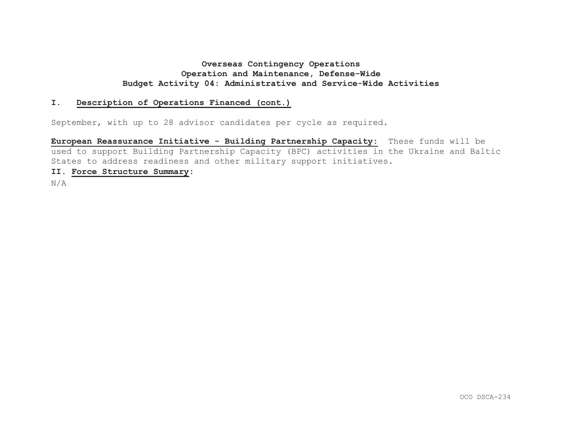#### **I.Description of Operations Financed (cont.)**

September, with up to 28 advisor candidates per cycle as required.

**European Reassurance Initiative - Building Partnership Capacity:** These funds will be used to support Building Partnership Capacity (BPC) activities in the Ukraine and Baltic States to address readiness and other military support initiatives.

### **II. Force Structure Summary:**

N/A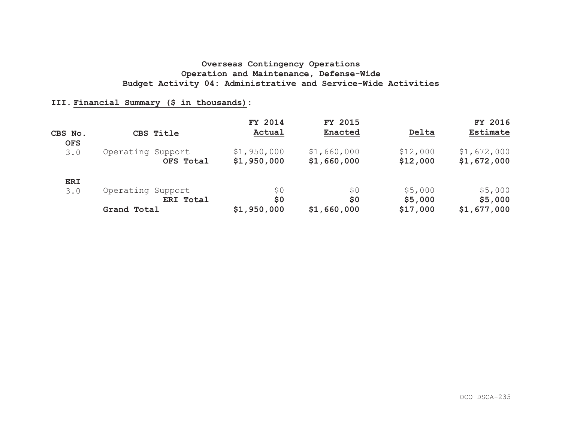## **III. Financial Summary (\$ in thousands):**

|            |                   | FY 2014     | FY 2015     |          | FY 2016     |
|------------|-------------------|-------------|-------------|----------|-------------|
| CBS No.    | CBS Title         | Actual      | Enacted     | Delta    | Estimate    |
| <b>OFS</b> |                   |             |             |          |             |
| 3.0        | Operating Support | \$1,950,000 | \$1,660,000 | \$12,000 | \$1,672,000 |
|            | OFS Total         | \$1,950,000 | \$1,660,000 | \$12,000 | \$1,672,000 |
| <b>ERI</b> |                   |             |             |          |             |
| 3.0        | Operating Support | \$0         | 50          | \$5,000  | \$5,000     |
|            | ERI Total         | \$0         | \$0         | \$5,000  | \$5,000     |
|            | Grand Total       | \$1,950,000 | \$1,660,000 | \$17,000 | \$1,677,000 |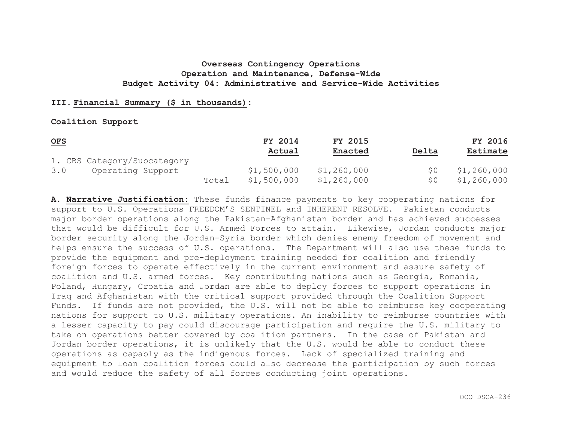## **III. Financial Summary (\$ in thousands):**

#### **Coalition Support**

| $OFS$                       |       | FY 2014     | FY 2015     |       | <b>FY 2016</b> |
|-----------------------------|-------|-------------|-------------|-------|----------------|
|                             |       | Actual      | Enacted     | Delta | Estimate       |
| 1. CBS Category/Subcategory |       |             |             |       |                |
| Operating Support<br>3.0    |       | \$1,500,000 | \$1,260,000 |       | \$1,260,000    |
|                             | Total | \$1,500,000 | \$1,260,000 | S O   | \$1,260,000    |

**A. Narrative Justification:** These funds finance payments to key cooperating nations for support to U.S. Operations FREEDOM'S SENTINEL and INHERENT RESOLVE. Pakistan conducts major border operations along the Pakistan-Afghanistan border and has achieved successes that would be difficult for U.S. Armed Forces to attain. Likewise, Jordan conducts major border security along the Jordan-Syria border which denies enemy freedom of movement and helps ensure the success of U.S. operations. The Department will also use these funds to provide the equipment and pre-deployment training needed for coalition and friendly foreign forces to operate effectively in the current environment and assure safety of coalition and U.S. armed forces. Key contributing nations such as Georgia, Romania, Poland, Hungary, Croatia and Jordan are able to deploy forces to support operations in Iraq and Afghanistan with the critical support provided through the Coalition Support Funds. If funds are not provided, the U.S. will not be able to reimburse key cooperating nations for support to U.S. military operations. An inability to reimburse countries with a lesser capacity to pay could discourage participation and require the U.S. military to take on operations better covered by coalition partners. In the case of Pakistan and Jordan border operations, it is unlikely that the U.S. would be able to conduct these operations as capably as the indigenous forces. Lack of specialized training and equipment to loan coalition forces could also decrease the participation by such forces and would reduce the safety of all forces conducting joint operations.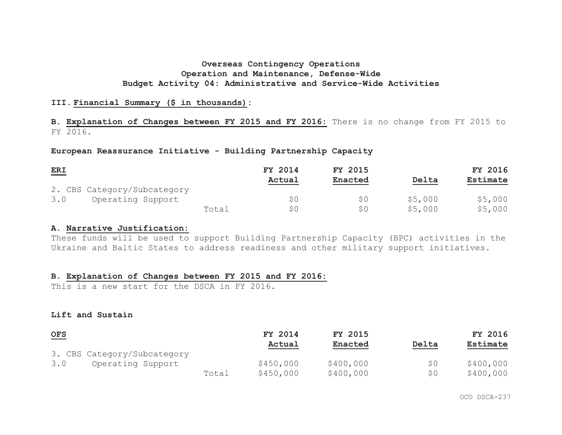## **III. Financial Summary (\$ in thousands):**

**B. Explanation of Changes between FY 2015 and FY 2016:** There is no change from FY 2015 to FY 2016.

## **European Reassurance Initiative - Building Partnership Capacity**

| ERI                         |       | FY 2014 | FY 2015        |         | <b>FY 2016</b> |
|-----------------------------|-------|---------|----------------|---------|----------------|
|                             |       | Actual  | <b>Enacted</b> | Delta   | Estimate       |
| 2. CBS Category/Subcategory |       |         |                |         |                |
| 3.0<br>Operating Support    |       | S O     | SO             | \$5,000 | \$5,000        |
|                             | Total | S O     | S O            | \$5,000 | \$5,000        |

#### **A. Narrative Justification:**

These funds will be used to support Building Partnership Capacity (BPC) activities in the Ukraine and Baltic States to address readiness and other military support initiatives.

## **B. Explanation of Changes between FY 2015 and FY 2016:**

This is a new start for the DSCA in FY 2016.

#### **Lift and Sustain**

| $OFS$ |                             |       | FY 2014   | FY 2015        |       | FY 2016   |
|-------|-----------------------------|-------|-----------|----------------|-------|-----------|
|       |                             |       | Actual    | <b>Enacted</b> | Delta | Estimate  |
|       | 3. CBS Category/Subcategory |       |           |                |       |           |
| 3.0   | Operating Support           |       | \$450,000 | \$400,000      | \$0   | \$400,000 |
|       |                             | Total | \$450,000 | \$400,000      | \$0   | \$400,000 |

OCO DSCA-237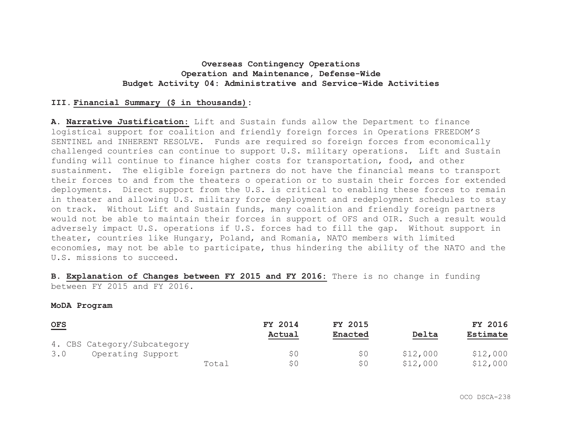## **III. Financial Summary (\$ in thousands):**

**A. Narrative Justification:** Lift and Sustain funds allow the Department to finance logistical support for coalition and friendly foreign forces in Operations FREEDOM'S SENTINEL and INHERENT RESOLVE. Funds are required so foreign forces from economically challenged countries can continue to support U.S. military operations. Lift and Sustain funding will continue to finance higher costs for transportation, food, and other sustainment. The eligible foreign partners do not have the financial means to transport their forces to and from the theaters o operation or to sustain their forces for extended deployments. Direct support from the U.S. is critical to enabling these forces to remain in theater and allowing U.S. military force deployment and redeployment schedules to stay on track. Without Lift and Sustain funds, many coalition and friendly foreign partners would not be able to maintain their forces in support of OFS and OIR. Such a result would adversely impact U.S. operations if U.S. forces had to fill the gap. Without support in theater, countries like Hungary, Poland, and Romania, NATO members with limited economies, may not be able to participate, thus hindering the ability of the NATO and the U.S. missions to succeed.

**B. Explanation of Changes between FY 2015 and FY 2016:** There is no change in funding between FY 2015 and FY 2016.

#### **MoDA Program**

| OFS                         |       | FY 2014 | FY 2015 |          | FY 2016  |
|-----------------------------|-------|---------|---------|----------|----------|
|                             |       | Actual  | Enacted | Delta    | Estimate |
| 4. CBS Category/Subcategory |       |         |         |          |          |
| Operating Support<br>3.0    |       | \$0     | S0      | \$12,000 | \$12,000 |
|                             | Total | SO.     | S0      | \$12,000 | \$12,000 |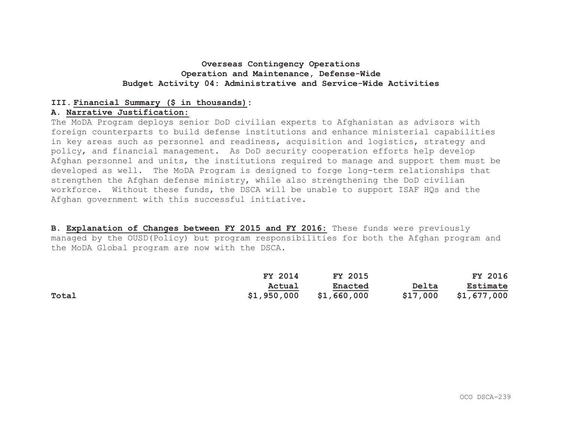## **III. Financial Summary (\$ in thousands):**

### **A. Narrative Justification:**

The MoDA Program deploys senior DoD civilian experts to Afghanistan as advisors with foreign counterparts to build defense institutions and enhance ministerial capabilities in key areas such as personnel and readiness, acquisition and logistics, strategy and policy, and financial management. As DoD security cooperation efforts help develop Afghan personnel and units, the institutions required to manage and support them must be developed as well. The MoDA Program is designed to forge long-term relationships that strengthen the Afghan defense ministry, while also strengthening the DoD civilian workforce. Without these funds, the DSCA will be unable to support ISAF HQs and the Afghan government with this successful initiative.

**B. Explanation of Changes between FY 2015 and FY 2016:** These funds were previously managed by the OUSD(Policy) but program responsibilities for both the Afghan program and the MoDA Global program are now with the DSCA.

|       | FY 2014     | <b>FY 2015</b> |          | FY 2016     |
|-------|-------------|----------------|----------|-------------|
|       | Actual      | Enacted        | Delta    | Estimate    |
| Total | \$1,950,000 | \$1,660,000    | \$17,000 | \$1,677,000 |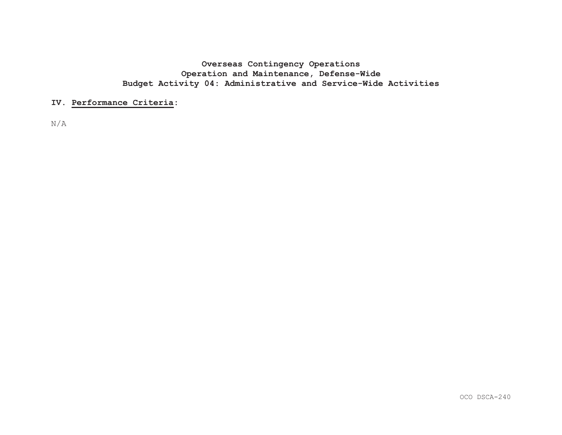### **IV. Performance Criteria:**

N/A